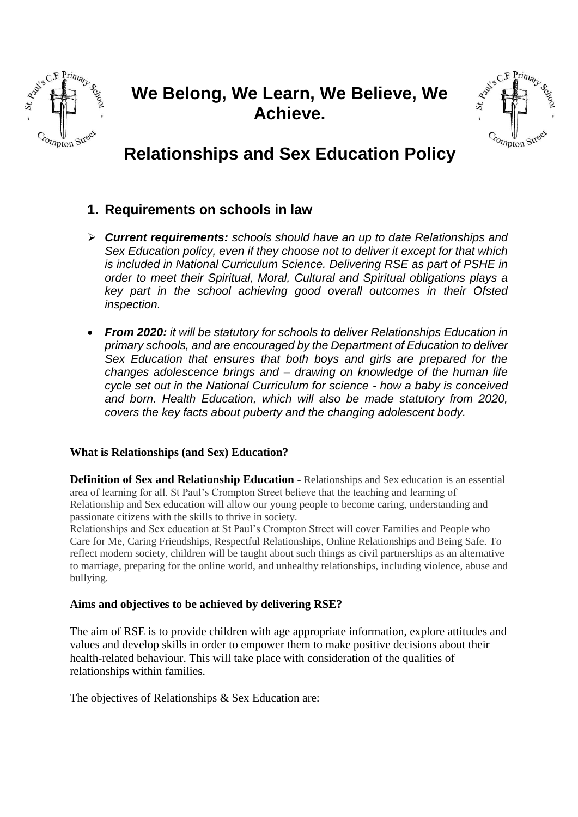

# **We Belong, We Learn, We Believe, We Achieve.**



# **Relationships and Sex Education Policy**

# **1. Requirements on schools in law**

- ➢ *Current requirements: schools should have an up to date Relationships and Sex Education policy, even if they choose not to deliver it except for that which is included in National Curriculum Science. Delivering RSE as part of PSHE in order to meet their Spiritual, Moral, Cultural and Spiritual obligations plays a key part in the school achieving good overall outcomes in their Ofsted inspection.*
- *From 2020: it will be statutory for schools to deliver Relationships Education in primary schools, and are encouraged by the Department of Education to deliver Sex Education that ensures that both boys and girls are prepared for the changes adolescence brings and – drawing on knowledge of the human life cycle set out in the National Curriculum for science - how a baby is conceived and born. Health Education, which will also be made statutory from 2020, covers the key facts about puberty and the changing adolescent body.*

# **What is Relationships (and Sex) Education?**

**Definition of Sex and Relationship Education -** Relationships and Sex education is an essential area of learning for all. St Paul's Crompton Street believe that the teaching and learning of Relationship and Sex education will allow our young people to become caring, understanding and passionate citizens with the skills to thrive in society.

Relationships and Sex education at St Paul's Crompton Street will cover Families and People who Care for Me, Caring Friendships, Respectful Relationships, Online Relationships and Being Safe. To reflect modern society, children will be taught about such things as civil partnerships as an alternative to marriage, preparing for the online world, and unhealthy relationships, including violence, abuse and bullying.

# **Aims and objectives to be achieved by delivering RSE?**

The aim of RSE is to provide children with age appropriate information, explore attitudes and values and develop skills in order to empower them to make positive decisions about their health-related behaviour. This will take place with consideration of the qualities of relationships within families.

The objectives of Relationships & Sex Education are: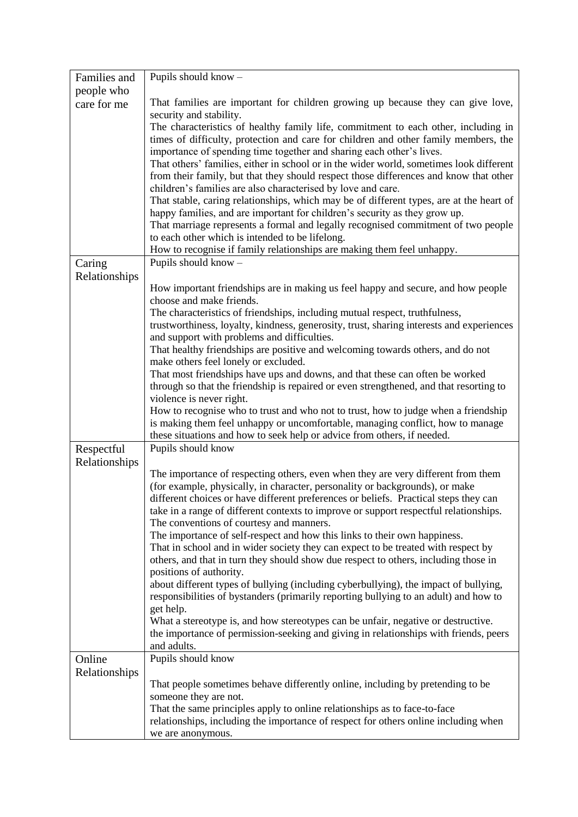| Families and  | Pupils should know -                                                                                                                                                          |  |  |  |  |  |  |
|---------------|-------------------------------------------------------------------------------------------------------------------------------------------------------------------------------|--|--|--|--|--|--|
| people who    |                                                                                                                                                                               |  |  |  |  |  |  |
| care for me   | That families are important for children growing up because they can give love,<br>security and stability.                                                                    |  |  |  |  |  |  |
|               | The characteristics of healthy family life, commitment to each other, including in                                                                                            |  |  |  |  |  |  |
|               | times of difficulty, protection and care for children and other family members, the                                                                                           |  |  |  |  |  |  |
|               | importance of spending time together and sharing each other's lives.                                                                                                          |  |  |  |  |  |  |
|               | That others' families, either in school or in the wider world, sometimes look different                                                                                       |  |  |  |  |  |  |
|               | from their family, but that they should respect those differences and know that other                                                                                         |  |  |  |  |  |  |
|               | children's families are also characterised by love and care.                                                                                                                  |  |  |  |  |  |  |
|               | That stable, caring relationships, which may be of different types, are at the heart of<br>happy families, and are important for children's security as they grow up.         |  |  |  |  |  |  |
|               | That marriage represents a formal and legally recognised commitment of two people                                                                                             |  |  |  |  |  |  |
|               | to each other which is intended to be lifelong.                                                                                                                               |  |  |  |  |  |  |
|               | How to recognise if family relationships are making them feel unhappy.                                                                                                        |  |  |  |  |  |  |
| Caring        | Pupils should know -                                                                                                                                                          |  |  |  |  |  |  |
| Relationships |                                                                                                                                                                               |  |  |  |  |  |  |
|               | How important friendships are in making us feel happy and secure, and how people                                                                                              |  |  |  |  |  |  |
|               | choose and make friends.<br>The characteristics of friendships, including mutual respect, truthfulness,                                                                       |  |  |  |  |  |  |
|               | trustworthiness, loyalty, kindness, generosity, trust, sharing interests and experiences                                                                                      |  |  |  |  |  |  |
|               | and support with problems and difficulties.                                                                                                                                   |  |  |  |  |  |  |
|               | That healthy friendships are positive and welcoming towards others, and do not                                                                                                |  |  |  |  |  |  |
|               | make others feel lonely or excluded.                                                                                                                                          |  |  |  |  |  |  |
|               | That most friendships have ups and downs, and that these can often be worked                                                                                                  |  |  |  |  |  |  |
|               | through so that the friendship is repaired or even strengthened, and that resorting to                                                                                        |  |  |  |  |  |  |
|               | violence is never right.<br>How to recognise who to trust and who not to trust, how to judge when a friendship                                                                |  |  |  |  |  |  |
|               | is making them feel unhappy or uncomfortable, managing conflict, how to manage                                                                                                |  |  |  |  |  |  |
|               | these situations and how to seek help or advice from others, if needed.                                                                                                       |  |  |  |  |  |  |
| Respectful    | Pupils should know                                                                                                                                                            |  |  |  |  |  |  |
| Relationships |                                                                                                                                                                               |  |  |  |  |  |  |
|               | The importance of respecting others, even when they are very different from them                                                                                              |  |  |  |  |  |  |
|               | (for example, physically, in character, personality or backgrounds), or make                                                                                                  |  |  |  |  |  |  |
|               | different choices or have different preferences or beliefs. Practical steps they can<br>take in a range of different contexts to improve or support respectful relationships. |  |  |  |  |  |  |
|               | The conventions of courtesy and manners.                                                                                                                                      |  |  |  |  |  |  |
|               | The importance of self-respect and how this links to their own happiness.                                                                                                     |  |  |  |  |  |  |
|               | That in school and in wider society they can expect to be treated with respect by                                                                                             |  |  |  |  |  |  |
|               | others, and that in turn they should show due respect to others, including those in                                                                                           |  |  |  |  |  |  |
|               | positions of authority.                                                                                                                                                       |  |  |  |  |  |  |
|               | about different types of bullying (including cyberbullying), the impact of bullying,                                                                                          |  |  |  |  |  |  |
|               | responsibilities of bystanders (primarily reporting bullying to an adult) and how to                                                                                          |  |  |  |  |  |  |
|               | get help.<br>What a stereotype is, and how stereotypes can be unfair, negative or destructive.                                                                                |  |  |  |  |  |  |
|               | the importance of permission-seeking and giving in relationships with friends, peers                                                                                          |  |  |  |  |  |  |
|               | and adults.                                                                                                                                                                   |  |  |  |  |  |  |
| Online        | Pupils should know                                                                                                                                                            |  |  |  |  |  |  |
| Relationships |                                                                                                                                                                               |  |  |  |  |  |  |
|               | That people sometimes behave differently online, including by pretending to be                                                                                                |  |  |  |  |  |  |
|               | someone they are not.                                                                                                                                                         |  |  |  |  |  |  |
|               | That the same principles apply to online relationships as to face-to-face                                                                                                     |  |  |  |  |  |  |
|               | relationships, including the importance of respect for others online including when<br>we are anonymous.                                                                      |  |  |  |  |  |  |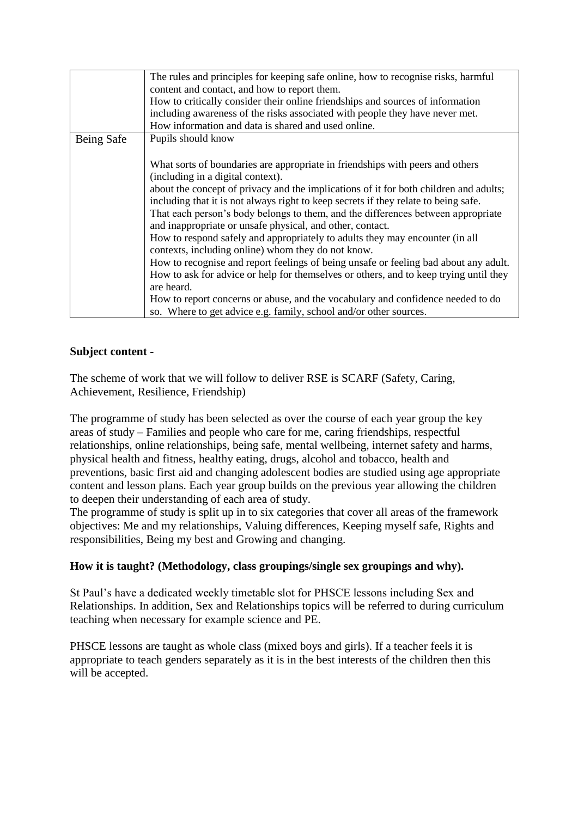|            | The rules and principles for keeping safe online, how to recognise risks, harmful     |  |  |  |  |  |  |
|------------|---------------------------------------------------------------------------------------|--|--|--|--|--|--|
|            | content and contact, and how to report them.                                          |  |  |  |  |  |  |
|            | How to critically consider their online friendships and sources of information        |  |  |  |  |  |  |
|            | including awareness of the risks associated with people they have never met.          |  |  |  |  |  |  |
|            | How information and data is shared and used online.                                   |  |  |  |  |  |  |
| Being Safe | Pupils should know                                                                    |  |  |  |  |  |  |
|            |                                                                                       |  |  |  |  |  |  |
|            | What sorts of boundaries are appropriate in friendships with peers and others         |  |  |  |  |  |  |
|            | (including in a digital context).                                                     |  |  |  |  |  |  |
|            | about the concept of privacy and the implications of it for both children and adults; |  |  |  |  |  |  |
|            | including that it is not always right to keep secrets if they relate to being safe.   |  |  |  |  |  |  |
|            | That each person's body belongs to them, and the differences between appropriate      |  |  |  |  |  |  |
|            | and inappropriate or unsafe physical, and other, contact.                             |  |  |  |  |  |  |
|            | How to respond safely and appropriately to adults they may encounter (in all          |  |  |  |  |  |  |
|            | contexts, including online) whom they do not know.                                    |  |  |  |  |  |  |
|            | How to recognise and report feelings of being unsafe or feeling bad about any adult.  |  |  |  |  |  |  |
|            | How to ask for advice or help for themselves or others, and to keep trying until they |  |  |  |  |  |  |
|            | are heard.                                                                            |  |  |  |  |  |  |
|            | How to report concerns or abuse, and the vocabulary and confidence needed to do       |  |  |  |  |  |  |
|            | so. Where to get advice e.g. family, school and/or other sources.                     |  |  |  |  |  |  |

### **Subject content -**

The scheme of work that we will follow to deliver RSE is SCARF (Safety, Caring, Achievement, Resilience, Friendship)

The programme of study has been selected as over the course of each year group the key areas of study – Families and people who care for me, caring friendships, respectful relationships, online relationships, being safe, mental wellbeing, internet safety and harms, physical health and fitness, healthy eating, drugs, alcohol and tobacco, health and preventions, basic first aid and changing adolescent bodies are studied using age appropriate content and lesson plans. Each year group builds on the previous year allowing the children to deepen their understanding of each area of study.

The programme of study is split up in to six categories that cover all areas of the framework objectives: Me and my relationships, Valuing differences, Keeping myself safe, Rights and responsibilities, Being my best and Growing and changing.

#### **How it is taught? (Methodology, class groupings/single sex groupings and why).**

St Paul's have a dedicated weekly timetable slot for PHSCE lessons including Sex and Relationships. In addition, Sex and Relationships topics will be referred to during curriculum teaching when necessary for example science and PE.

PHSCE lessons are taught as whole class (mixed boys and girls). If a teacher feels it is appropriate to teach genders separately as it is in the best interests of the children then this will be accepted.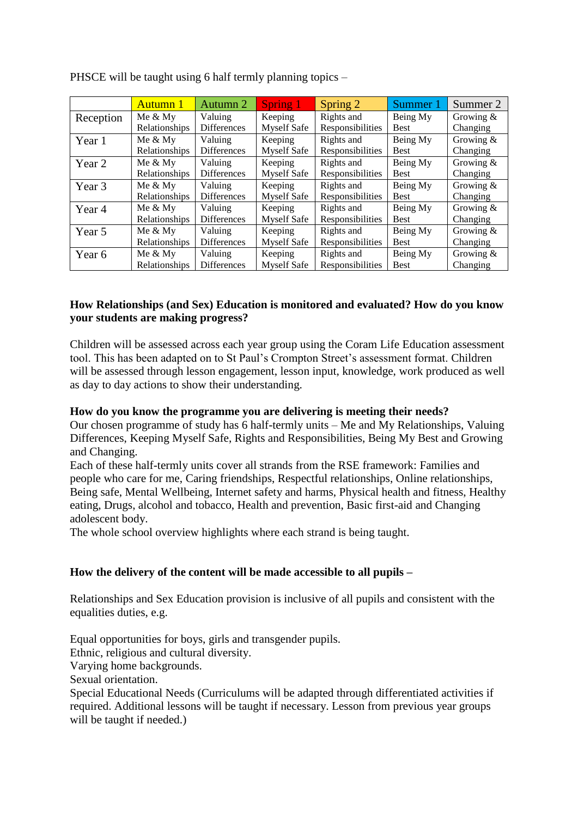|           | Autumn 1             | Autumn 2           | <b>Spring 1</b>    | Spring 2         | Summer 1    | Summer 2     |
|-----------|----------------------|--------------------|--------------------|------------------|-------------|--------------|
| Reception | Me $&$ My            | Valuing            | Keeping            | Rights and       | Being My    | Growing $\&$ |
|           | Relationships        | <b>Differences</b> | <b>Myself Safe</b> | Responsibilities | <b>Best</b> | Changing     |
| Year 1    | Me $&$ My            | Valuing            | Keeping            | Rights and       | Being My    | Growing $\&$ |
|           | Relationships        | <b>Differences</b> | <b>Myself Safe</b> | Responsibilities | <b>Best</b> | Changing     |
| Year 2    | Me $&$ My            | Valuing            | Keeping            | Rights and       | Being My    | Growing $\&$ |
|           | Relationships        | <b>Differences</b> | <b>Myself Safe</b> | Responsibilities | <b>Best</b> | Changing     |
| Year 3    | Me $&$ My            | Valuing            | Keeping            | Rights and       | Being My    | Growing $\&$ |
|           | Relationships        | <b>Differences</b> | <b>Myself Safe</b> | Responsibilities | <b>Best</b> | Changing     |
| Year 4    | Me $&$ My            | Valuing            | Keeping            | Rights and       | Being My    | Growing $\&$ |
|           | <b>Relationships</b> | <b>Differences</b> | <b>Myself Safe</b> | Responsibilities | <b>Best</b> | Changing     |
| Year 5    | Me $&$ My            | Valuing            | Keeping            | Rights and       | Being My    | Growing $\&$ |
|           | Relationships        | Differences        | <b>Myself Safe</b> | Responsibilities | <b>Best</b> | Changing     |
| Year 6    | Me $&$ My            | Valuing            | Keeping            | Rights and       | Being My    | Growing $\&$ |
|           | Relationships        | <b>Differences</b> | <b>Myself Safe</b> | Responsibilities | <b>Best</b> | Changing     |

PHSCE will be taught using 6 half termly planning topics –

### **How Relationships (and Sex) Education is monitored and evaluated? How do you know your students are making progress?**

Children will be assessed across each year group using the Coram Life Education assessment tool. This has been adapted on to St Paul's Crompton Street's assessment format. Children will be assessed through lesson engagement, lesson input, knowledge, work produced as well as day to day actions to show their understanding.

#### **How do you know the programme you are delivering is meeting their needs?**

Our chosen programme of study has 6 half-termly units – Me and My Relationships, Valuing Differences, Keeping Myself Safe, Rights and Responsibilities, Being My Best and Growing and Changing.

Each of these half-termly units cover all strands from the RSE framework: Families and people who care for me, Caring friendships, Respectful relationships, Online relationships, Being safe, Mental Wellbeing, Internet safety and harms, Physical health and fitness, Healthy eating, Drugs, alcohol and tobacco, Health and prevention, Basic first-aid and Changing adolescent body.

The whole school overview highlights where each strand is being taught.

# **How the delivery of the content will be made accessible to all pupils –**

Relationships and Sex Education provision is inclusive of all pupils and consistent with the equalities duties, e.g.

Equal opportunities for boys, girls and transgender pupils. Ethnic, religious and cultural diversity. Varying home backgrounds. Sexual orientation. Special Educational Needs (Curriculums will be adapted through differentiated activities if required. Additional lessons will be taught if necessary. Lesson from previous year groups will be taught if needed.)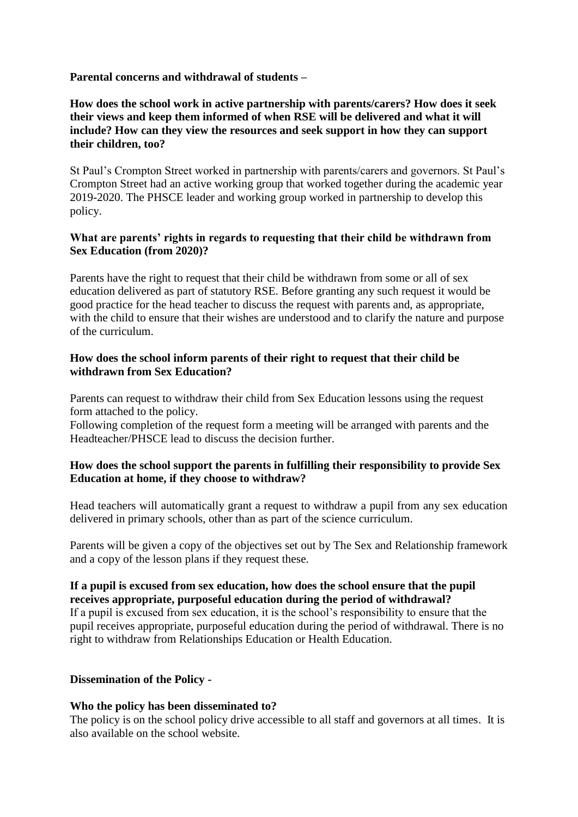### **Parental concerns and withdrawal of students –**

## **How does the school work in active partnership with parents/carers? How does it seek their views and keep them informed of when RSE will be delivered and what it will include? How can they view the resources and seek support in how they can support their children, too?**

St Paul's Crompton Street worked in partnership with parents/carers and governors. St Paul's Crompton Street had an active working group that worked together during the academic year 2019-2020. The PHSCE leader and working group worked in partnership to develop this policy.

#### **What are parents' rights in regards to requesting that their child be withdrawn from Sex Education (from 2020)?**

Parents have the right to request that their child be withdrawn from some or all of sex education delivered as part of statutory RSE. Before granting any such request it would be good practice for the head teacher to discuss the request with parents and, as appropriate, with the child to ensure that their wishes are understood and to clarify the nature and purpose of the curriculum.

#### **How does the school inform parents of their right to request that their child be withdrawn from Sex Education?**

Parents can request to withdraw their child from Sex Education lessons using the request form attached to the policy.

Following completion of the request form a meeting will be arranged with parents and the Headteacher/PHSCE lead to discuss the decision further.

### **How does the school support the parents in fulfilling their responsibility to provide Sex Education at home, if they choose to withdraw?**

Head teachers will automatically grant a request to withdraw a pupil from any sex education delivered in primary schools, other than as part of the science curriculum.

Parents will be given a copy of the objectives set out by The Sex and Relationship framework and a copy of the lesson plans if they request these.

#### **If a pupil is excused from sex education, how does the school ensure that the pupil receives appropriate, purposeful education during the period of withdrawal?**

If a pupil is excused from sex education, it is the school's responsibility to ensure that the pupil receives appropriate, purposeful education during the period of withdrawal. There is no right to withdraw from Relationships Education or Health Education.

#### **Dissemination of the Policy -**

#### **Who the policy has been disseminated to?**

The policy is on the school policy drive accessible to all staff and governors at all times. It is also available on the school website.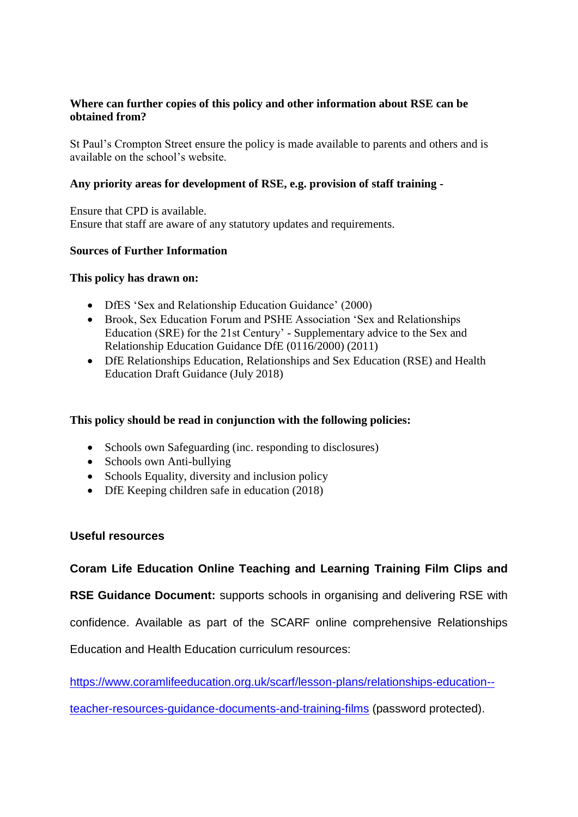### **Where can further copies of this policy and other information about RSE can be obtained from?**

St Paul's Crompton Street ensure the policy is made available to parents and others and is available on the school's website.

### **Any priority areas for development of RSE, e.g. provision of staff training -**

Ensure that CPD is available. Ensure that staff are aware of any statutory updates and requirements.

#### **Sources of Further Information**

#### **This policy has drawn on:**

- DfES 'Sex and Relationship Education Guidance' (2000)
- Brook, Sex Education Forum and PSHE Association 'Sex and Relationships Education (SRE) for the 21st Century' - Supplementary advice to the Sex and Relationship Education Guidance DfE (0116/2000) (2011)
- DfE Relationships Education, Relationships and Sex Education (RSE) and Health Education Draft Guidance (July 2018)

# **This policy should be read in conjunction with the following policies:**

- Schools own Safeguarding (inc. responding to disclosures)
- Schools own Anti-bullying
- Schools Equality, diversity and inclusion policy
- DfE Keeping children safe in education (2018)

#### **Useful resources**

**Coram Life Education Online Teaching and Learning Training Film Clips and** 

**RSE Guidance Document:** supports schools in organising and delivering RSE with

confidence. Available as part of the SCARF online comprehensive Relationships

Education and Health Education curriculum resources:

[https://www.coramlifeeducation.org.uk/scarf/lesson-plans/relationships-education--](https://www.coramlifeeducation.org.uk/scarf/lesson-plans/relationships-education--teacher-resources-guidance-documents-and-training-films)

[teacher-resources-guidance-documents-and-training-films](https://www.coramlifeeducation.org.uk/scarf/lesson-plans/relationships-education--teacher-resources-guidance-documents-and-training-films) (password protected).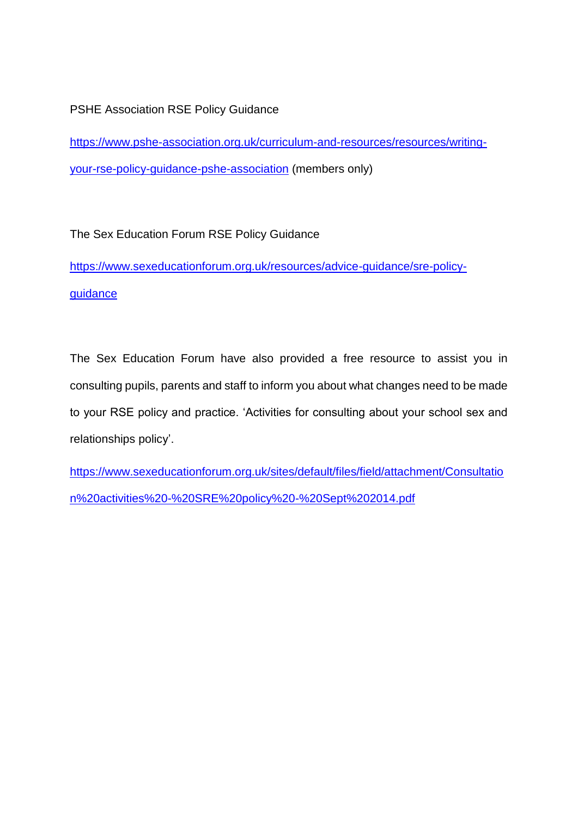# PSHE Association RSE Policy Guidance

[https://www.pshe-association.org.uk/curriculum-and-resources/resources/writing](https://www.pshe-association.org.uk/curriculum-and-resources/resources/writing-your-rse-policy-guidance-pshe-association)[your-rse-policy-guidance-pshe-association](https://www.pshe-association.org.uk/curriculum-and-resources/resources/writing-your-rse-policy-guidance-pshe-association) (members only)

The Sex Education Forum RSE Policy Guidance

[https://www.sexeducationforum.org.uk/resources/advice-guidance/sre-policy](https://www.sexeducationforum.org.uk/resources/advice-guidance/sre-policy-guidance)[guidance](https://www.sexeducationforum.org.uk/resources/advice-guidance/sre-policy-guidance)

The Sex Education Forum have also provided a free resource to assist you in consulting pupils, parents and staff to inform you about what changes need to be made to your RSE policy and practice. 'Activities for consulting about your school sex and relationships policy'.

[https://www.sexeducationforum.org.uk/sites/default/files/field/attachment/Consultatio](https://www.sexeducationforum.org.uk/sites/default/files/field/attachment/Consultation%20activities%20-%20SRE%20policy%20-%20Sept%202014.pdf) [n%20activities%20-%20SRE%20policy%20-%20Sept%202014.pdf](https://www.sexeducationforum.org.uk/sites/default/files/field/attachment/Consultation%20activities%20-%20SRE%20policy%20-%20Sept%202014.pdf)